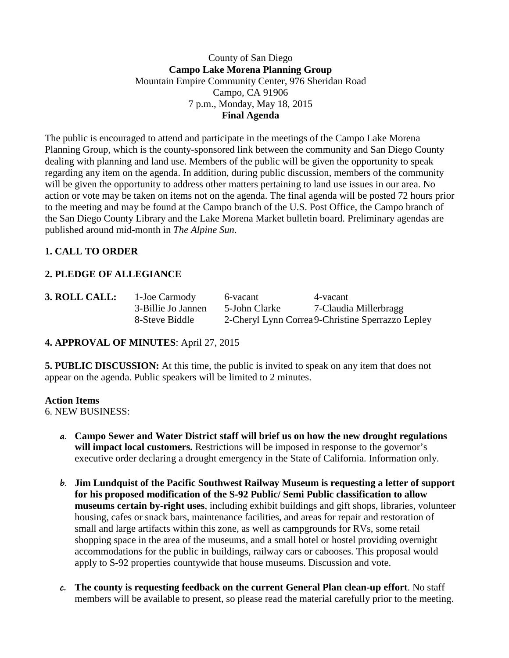#### County of San Diego **Campo Lake Morena Planning Group** Mountain Empire Community Center, 976 Sheridan Road Campo, CA 91906 7 p.m., Monday, May 18, 2015 **Final Agenda**

The public is encouraged to attend and participate in the meetings of the Campo Lake Morena Planning Group, which is the county-sponsored link between the community and San Diego County dealing with planning and land use. Members of the public will be given the opportunity to speak regarding any item on the agenda. In addition, during public discussion, members of the community will be given the opportunity to address other matters pertaining to land use issues in our area. No action or vote may be taken on items not on the agenda. The final agenda will be posted 72 hours prior to the meeting and may be found at the Campo branch of the U.S. Post Office, the Campo branch of the San Diego County Library and the Lake Morena Market bulletin board. Preliminary agendas are published around mid-month in *The Alpine Sun*.

## **1. CALL TO ORDER**

## **2. PLEDGE OF ALLEGIANCE**

| 3. ROLL CALL: |  |
|---------------|--|
|               |  |
|               |  |

**3. ROLL CALL:** 1-Joe Carmody 6-vacant 4-vacant 3-Billie Jo Jannen 5-John Clarke 7-Claudia Millerbragg 8-Steve Biddle 2-Cheryl Lynn Correa9-Christine Sperrazzo Lepley

## **4. APPROVAL OF MINUTES**: April 27, 2015

**5. PUBLIC DISCUSSION:** At this time, the public is invited to speak on any item that does not appear on the agenda. Public speakers will be limited to 2 minutes.

#### **Action Items**

6. NEW BUSINESS:

- **a. Campo Sewer and Water District staff will brief us on how the new drought regulations**  will impact local customers. Restrictions will be imposed in response to the governor's executive order declaring a drought emergency in the State of California. Information only.
- **b. Jim Lundquist of the Pacific Southwest Railway Museum is requesting a letter of support for his proposed modification of the S-92 Public/ Semi Public classification to allow museums certain by-right uses**, including exhibit buildings and gift shops, libraries, volunteer housing, cafes or snack bars, maintenance facilities, and areas for repair and restoration of small and large artifacts within this zone, as well as campgrounds for RVs, some retail shopping space in the area of the museums, and a small hotel or hostel providing overnight accommodations for the public in buildings, railway cars or cabooses. This proposal would apply to S-92 properties countywide that house museums. Discussion and vote.
- **c. The county is requesting feedback on the current General Plan clean-up effort**. No staff members will be available to present, so please read the material carefully prior to the meeting.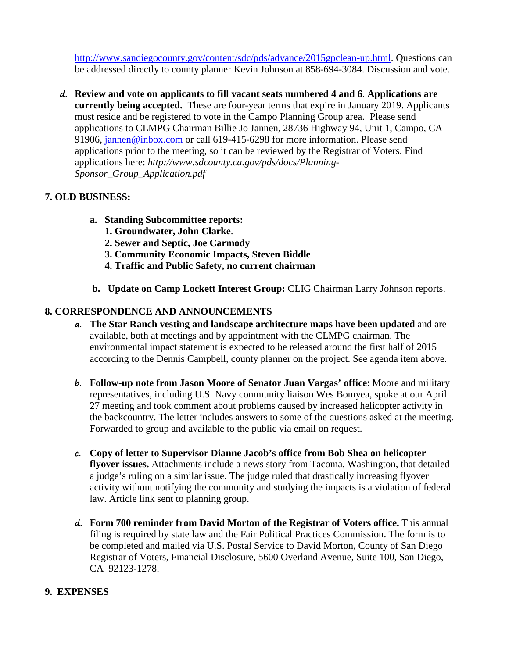[http://www.sandiegocounty.gov/content/sdc/pds/advance/2015gpclean-up.html.](http://www.sandiegocounty.gov/content/sdc/pds/advance/2015gpclean-up.html) Questions can be addressed directly to county planner Kevin Johnson at 858-694-3084. Discussion and vote.

**d. Review and vote on applicants to fill vacant seats numbered 4 and 6**. **Applications are currently being accepted.** These are four-year terms that expire in January 2019. Applicants must reside and be registered to vote in the Campo Planning Group area. Please send applications to CLMPG Chairman Billie Jo Jannen, 28736 Highway 94, Unit 1, Campo, CA 91906, [jannen@inbox.com](mailto:campojoe@yahoo.com) or call 619-415-6298 for more information. Please send applications prior to the meeting, so it can be reviewed by the Registrar of Voters. Find applications here: *http://www.sdcounty.ca.gov/pds/docs/Planning-Sponsor\_Group\_Application.pdf*

## **7. OLD BUSINESS:**

- **a. Standing Subcommittee reports:**
	- **1. Groundwater, John Clarke**.
	- **2. Sewer and Septic, Joe Carmody**
	- **3. Community Economic Impacts, Steven Biddle**
	- **4. Traffic and Public Safety, no current chairman**
- **b. Update on Camp Lockett Interest Group:** CLIG Chairman Larry Johnson reports.

# **8. CORRESPONDENCE AND ANNOUNCEMENTS**

- **a. The Star Ranch vesting and landscape architecture maps have been updated** and are available, both at meetings and by appointment with the CLMPG chairman. The environmental impact statement is expected to be released around the first half of 2015 according to the Dennis Campbell, county planner on the project. See agenda item above.
- **b. Follow-up note from Jason Moore of Senator Juan Vargas' office**: Moore and military representatives, including U.S. Navy community liaison Wes Bomyea, spoke at our April 27 meeting and took comment about problems caused by increased helicopter activity in the backcountry. The letter includes answers to some of the questions asked at the meeting. Forwarded to group and available to the public via email on request.
- **c. Copy of letter to Supervisor Dianne Jacob's office from Bob Shea on helicopter flyover issues.** Attachments include a news story from Tacoma, Washington, that detailed a judge's ruling on a similar issue. The judge ruled that drastically increasing flyover activity without notifying the community and studying the impacts is a violation of federal law. Article link sent to planning group.
- **d. Form 700 reminder from David Morton of the Registrar of Voters office.** This annual filing is required by state law and the Fair Political Practices Commission. The form is to be completed and mailed via U.S. Postal Service to David Morton, County of San Diego Registrar of Voters, Financial Disclosure, 5600 Overland Avenue, Suite 100, San Diego, CA 92123-1278.

## **9. EXPENSES**